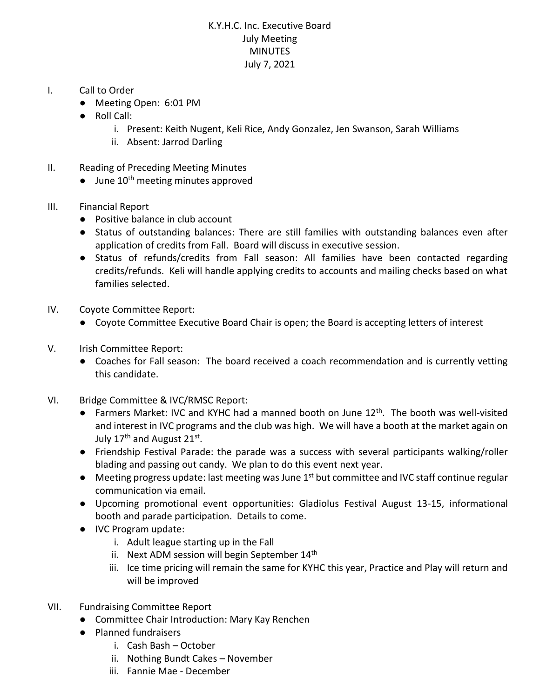## K.Y.H.C. Inc. Executive Board July Meeting **MINUTES** July 7, 2021

- I. Call to Order
	- Meeting Open: 6:01 PM
	- Roll Call:
		- i. Present: Keith Nugent, Keli Rice, Andy Gonzalez, Jen Swanson, Sarah Williams
		- ii. Absent: Jarrod Darling
- II. Reading of Preceding Meeting Minutes
	- $\bullet$  June 10<sup>th</sup> meeting minutes approved
- III. Financial Report
	- Positive balance in club account
	- Status of outstanding balances: There are still families with outstanding balances even after application of credits from Fall. Board will discuss in executive session.
	- Status of refunds/credits from Fall season: All families have been contacted regarding credits/refunds. Keli will handle applying credits to accounts and mailing checks based on what families selected.
- IV. Coyote Committee Report:
	- Coyote Committee Executive Board Chair is open; the Board is accepting letters of interest
- V. Irish Committee Report:
	- Coaches for Fall season: The board received a coach recommendation and is currently vetting this candidate.
- VI. Bridge Committee & IVC/RMSC Report:
	- Farmers Market: IVC and KYHC had a manned booth on June  $12<sup>th</sup>$ . The booth was well-visited and interest in IVC programs and the club was high. We will have a booth at the market again on July 17<sup>th</sup> and August 21st.
	- Friendship Festival Parade: the parade was a success with several participants walking/roller blading and passing out candy. We plan to do this event next year.
	- Meeting progress update: last meeting was June 1<sup>st</sup> but committee and IVC staff continue regular communication via email.
	- Upcoming promotional event opportunities: Gladiolus Festival August 13-15, informational booth and parade participation. Details to come.
	- IVC Program update:
		- i. Adult league starting up in the Fall
		- ii. Next ADM session will begin September  $14<sup>th</sup>$
		- iii. Ice time pricing will remain the same for KYHC this year, Practice and Play will return and will be improved
- VII. Fundraising Committee Report
	- Committee Chair Introduction: Mary Kay Renchen
	- Planned fundraisers
		- i. Cash Bash October
		- ii. Nothing Bundt Cakes November
		- iii. Fannie Mae December